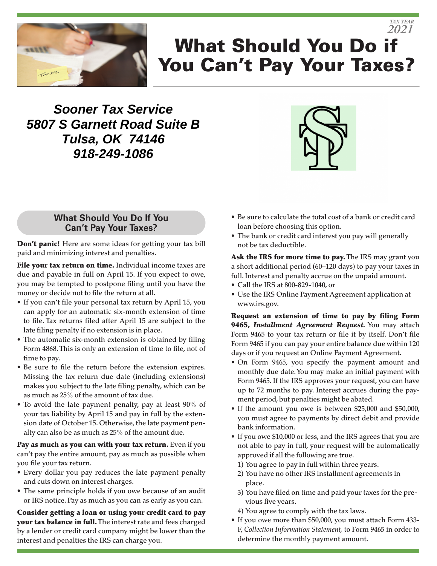

# What Should You Do if You Can't Pay Your Taxes? *2021*

**Sooner Tax Service 5807 S Garnett Road Suite B Tulsa, OK 74146 918-249-1086**



*TAX YEAR*

### **What Should You Do If You Can't Pay Your Taxes?**

Don't panic! Here are some ideas for getting your tax bill paid and minimizing interest and penalties.

File your tax return on time. Individual income taxes are due and payable in full on April 15. If you expect to owe, you may be tempted to postpone filing until you have the money or decide not to file the return at all.

- If you can't file your personal tax return by April 15, you can apply for an automatic six-month extension of time to file. Tax returns filed after April 15 are subject to the late filing penalty if no extension is in place.
- The automatic six-month extension is obtained by filing Form 4868. This is only an extension of time to file, not of time to pay.
- Be sure to file the return before the extension expires. Missing the tax return due date (including extensions) makes you subject to the late filing penalty, which can be as much as 25% of the amount of tax due.
- To avoid the late payment penalty, pay at least 90% of your tax liability by April 15 and pay in full by the extension date of October 15. Otherwise, the late payment penalty can also be as much as 25% of the amount due.

Pay as much as you can with your tax return. Even if you can't pay the entire amount, pay as much as possible when you file your tax return.

- Every dollar you pay reduces the late payment penalty and cuts down on interest charges.
- The same principle holds if you owe because of an audit or IRS notice. Pay as much as you can as early as you can.

Consider getting a loan or using your credit card to pay your tax balance in full. The interest rate and fees charged by a lender or credit card company might be lower than the interest and penalties the IRS can charge you.

- Be sure to calculate the total cost of a bank or credit card loan before choosing this option.
- The bank or credit card interest you pay will generally not be tax deductible.

Ask the IRS for more time to pay. The IRS may grant you a short additional period (60–120 days) to pay your taxes in full. Interest and penalty accrue on the unpaid amount.

- Call the IRS at 800-829-1040, or
- Use the IRS Online Payment Agreement application at www.irs.gov.

Request an extension of time to pay by filing Form 9465, *Installment Agreement Request.* You may attach Form 9465 to your tax return or file it by itself. Don't file Form 9465 if you can pay your entire balance due within 120 days or if you request an Online Payment Agreement.

- On Form 9465, you specify the payment amount and monthly due date. You may make an initial payment with Form 9465. If the IRS approves your request, you can have up to 72 months to pay. Interest accrues during the payment period, but penalties might be abated.
- If the amount you owe is between \$25,000 and \$50,000, you must agree to payments by direct debit and provide bank information.
- If you owe \$10,000 or less, and the IRS agrees that you are not able to pay in full, your request will be automatically approved if all the following are true.
	- 1) You agree to pay in full within three years.
	- 2) You have no other IRS installment agreements in place.
	- 3) You have filed on time and paid your taxes for the previous five years.
	- 4) You agree to comply with the tax laws.
- If you owe more than \$50,000, you must attach Form 433- F, *Collection Information Statement,* to Form 9465 in order to determine the monthly payment amount.